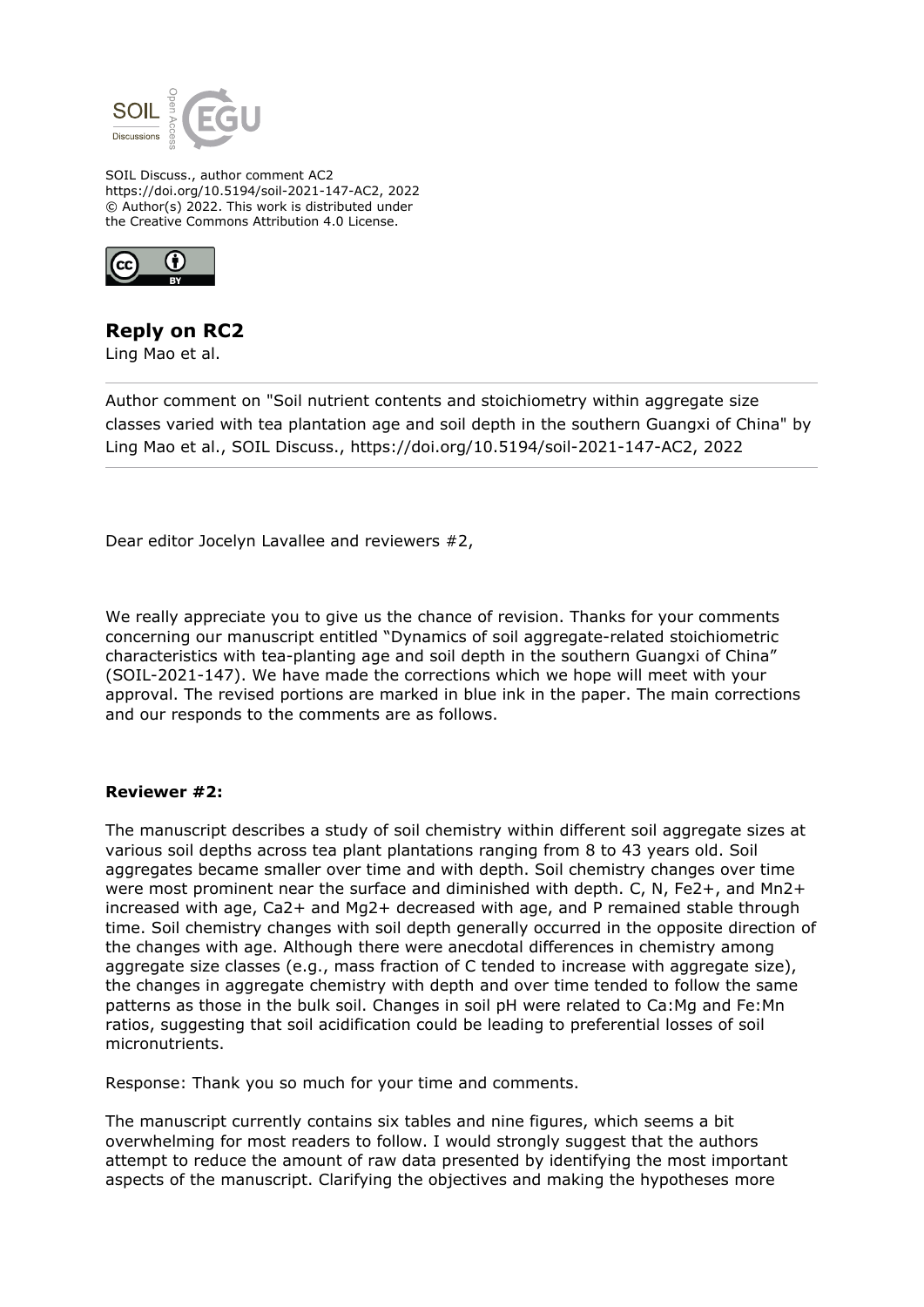

SOIL Discuss., author comment AC2 https://doi.org/10.5194/soil-2021-147-AC2, 2022 © Author(s) 2022. This work is distributed under the Creative Commons Attribution 4.0 License.



## **Reply on RC2**

Ling Mao et al.

Author comment on "Soil nutrient contents and stoichiometry within aggregate size classes varied with tea plantation age and soil depth in the southern Guangxi of China" by Ling Mao et al., SOIL Discuss., https://doi.org/10.5194/soil-2021-147-AC2, 2022

Dear editor Jocelyn Lavallee and reviewers #2,

We really appreciate you to give us the chance of revision. Thanks for your comments concerning our manuscript entitled "Dynamics of soil aggregate-related stoichiometric characteristics with tea-planting age and soil depth in the southern Guangxi of China" (SOIL-2021-147). We have made the corrections which we hope will meet with your approval. The revised portions are marked in blue ink in the paper. The main corrections and our responds to the comments are as follows.

## **Reviewer #2:**

The manuscript describes a study of soil chemistry within different soil aggregate sizes at various soil depths across tea plant plantations ranging from 8 to 43 years old. Soil aggregates became smaller over time and with depth. Soil chemistry changes over time were most prominent near the surface and diminished with depth. C, N, Fe2+, and Mn2+ increased with age, Ca2+ and Mg2+ decreased with age, and P remained stable through time. Soil chemistry changes with soil depth generally occurred in the opposite direction of the changes with age. Although there were anecdotal differences in chemistry among aggregate size classes (e.g., mass fraction of C tended to increase with aggregate size), the changes in aggregate chemistry with depth and over time tended to follow the same patterns as those in the bulk soil. Changes in soil pH were related to Ca:Mg and Fe:Mn ratios, suggesting that soil acidification could be leading to preferential losses of soil micronutrients.

Response: Thank you so much for your time and comments.

The manuscript currently contains six tables and nine figures, which seems a bit overwhelming for most readers to follow. I would strongly suggest that the authors attempt to reduce the amount of raw data presented by identifying the most important aspects of the manuscript. Clarifying the objectives and making the hypotheses more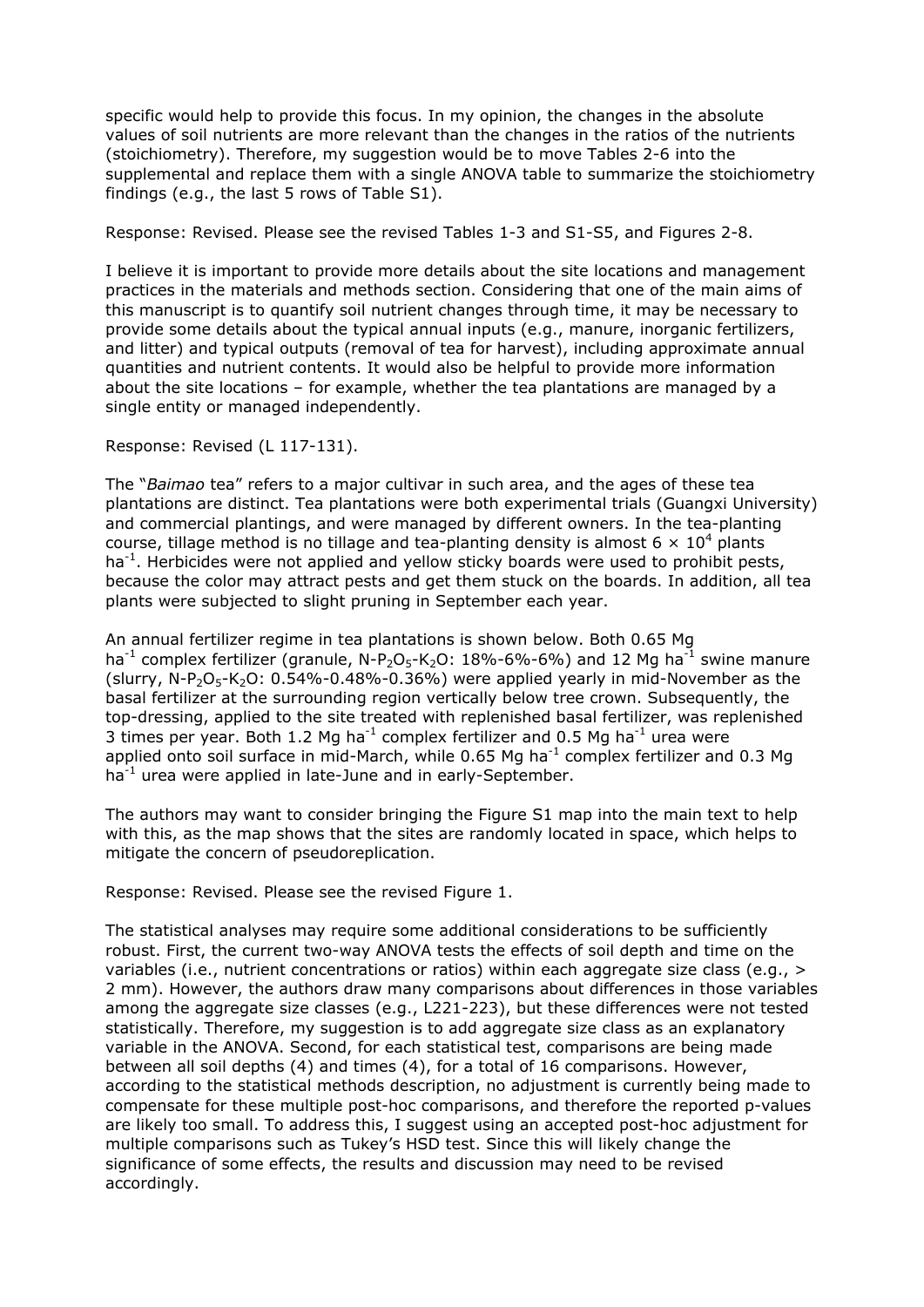specific would help to provide this focus. In my opinion, the changes in the absolute values of soil nutrients are more relevant than the changes in the ratios of the nutrients (stoichiometry). Therefore, my suggestion would be to move Tables 2-6 into the supplemental and replace them with a single ANOVA table to summarize the stoichiometry findings (e.g., the last 5 rows of Table S1).

Response: Revised. Please see the revised Tables 1-3 and S1-S5, and Figures 2-8.

I believe it is important to provide more details about the site locations and management practices in the materials and methods section. Considering that one of the main aims of this manuscript is to quantify soil nutrient changes through time, it may be necessary to provide some details about the typical annual inputs (e.g., manure, inorganic fertilizers, and litter) and typical outputs (removal of tea for harvest), including approximate annual quantities and nutrient contents. It would also be helpful to provide more information about the site locations – for example, whether the tea plantations are managed by a single entity or managed independently.

Response: Revised (L 117-131).

The "*Baimao* tea" refers to a major cultivar in such area, and the ages of these tea plantations are distinct. Tea plantations were both experimental trials (Guangxi University) and commercial plantings, and were managed by different owners. In the tea-planting course, tillage method is no tillage and tea-planting density is almost 6  $\times$  10<sup>4</sup> plants  $ha^{-1}$ . Herbicides were not applied and yellow sticky boards were used to prohibit pests, because the color may attract pests and get them stuck on the boards. In addition, all tea plants were subjected to slight pruning in September each year.

An annual fertilizer regime in tea plantations is shown below. Both 0.65 Mg ha<sup>-1</sup> complex fertilizer (granule, N-P<sub>2</sub>O<sub>5</sub>-K<sub>2</sub>O: 18%-6%-6%) and 12 Mg ha<sup>-1</sup> swine manure (slurry,  $N-P_2O_5-K_2O$ : 0.54%-0.48%-0.36%) were applied yearly in mid-November as the basal fertilizer at the surrounding region vertically below tree crown. Subsequently, the top-dressing, applied to the site treated with replenished basal fertilizer, was replenished 3 times per year. Both 1.2 Mg ha<sup>-1</sup> complex fertilizer and 0.5 Mg ha<sup>-1</sup> urea were applied onto soil surface in mid-March, while  $0.65$  Mg ha<sup>-1</sup> complex fertilizer and  $0.3$  Mg ha<sup>-1</sup> urea were applied in late-June and in early-September.

The authors may want to consider bringing the Figure S1 map into the main text to help with this, as the map shows that the sites are randomly located in space, which helps to mitigate the concern of pseudoreplication.

Response: Revised. Please see the revised Figure 1.

The statistical analyses may require some additional considerations to be sufficiently robust. First, the current two-way ANOVA tests the effects of soil depth and time on the variables (i.e., nutrient concentrations or ratios) within each aggregate size class (e.g., > 2 mm). However, the authors draw many comparisons about differences in those variables among the aggregate size classes (e.g., L221-223), but these differences were not tested statistically. Therefore, my suggestion is to add aggregate size class as an explanatory variable in the ANOVA. Second, for each statistical test, comparisons are being made between all soil depths (4) and times (4), for a total of 16 comparisons. However, according to the statistical methods description, no adjustment is currently being made to compensate for these multiple post-hoc comparisons, and therefore the reported p-values are likely too small. To address this, I suggest using an accepted post-hoc adjustment for multiple comparisons such as Tukey's HSD test. Since this will likely change the significance of some effects, the results and discussion may need to be revised accordingly.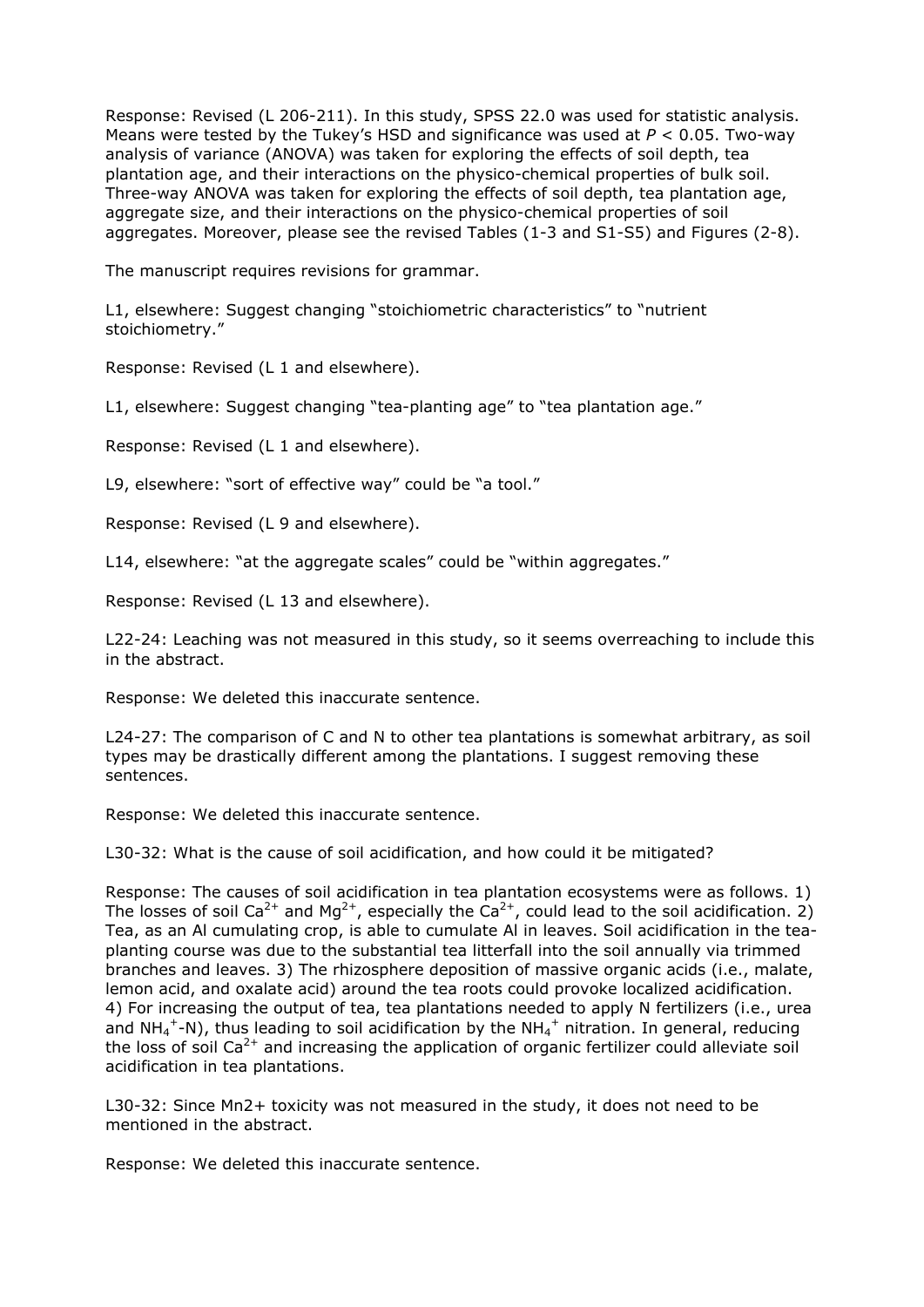Response: Revised (L 206-211). In this study, SPSS 22.0 was used for statistic analysis. Means were tested by the Tukey's HSD and significance was used at *P* < 0.05. Two-way analysis of variance (ANOVA) was taken for exploring the effects of soil depth, tea plantation age, and their interactions on the physico-chemical properties of bulk soil. Three-way ANOVA was taken for exploring the effects of soil depth, tea plantation age, aggregate size, and their interactions on the physico-chemical properties of soil aggregates. Moreover, please see the revised Tables (1-3 and S1-S5) and Figures (2-8).

The manuscript requires revisions for grammar.

L1, elsewhere: Suggest changing "stoichiometric characteristics" to "nutrient stoichiometry."

Response: Revised (L 1 and elsewhere).

L1, elsewhere: Suggest changing "tea-planting age" to "tea plantation age."

Response: Revised (L 1 and elsewhere).

L9, elsewhere: "sort of effective way" could be "a tool."

Response: Revised (L 9 and elsewhere).

L14, elsewhere: "at the aggregate scales" could be "within aggregates."

Response: Revised (L 13 and elsewhere).

L22-24: Leaching was not measured in this study, so it seems overreaching to include this in the abstract.

Response: We deleted this inaccurate sentence.

L24-27: The comparison of C and N to other tea plantations is somewhat arbitrary, as soil types may be drastically different among the plantations. I suggest removing these sentences.

Response: We deleted this inaccurate sentence.

L30-32: What is the cause of soil acidification, and how could it be mitigated?

Response: The causes of soil acidification in tea plantation ecosystems were as follows. 1) The losses of soil Ca<sup>2+</sup> and Mg<sup>2+</sup>, especially the Ca<sup>2+</sup>, could lead to the soil acidification. 2) Tea, as an Al cumulating crop, is able to cumulate Al in leaves. Soil acidification in the teaplanting course was due to the substantial tea litterfall into the soil annually via trimmed branches and leaves. 3) The rhizosphere deposition of massive organic acids (i.e., malate, lemon acid, and oxalate acid) around the tea roots could provoke localized acidification. 4) For increasing the output of tea, tea plantations needed to apply N fertilizers (i.e., urea and NH<sub>4</sub><sup>+</sup>-N), thus leading to soil acidification by the NH<sub>4</sub><sup>+</sup> nitration. In general, reducing the loss of soil  $Ca^{2+}$  and increasing the application of organic fertilizer could alleviate soil acidification in tea plantations.

L30-32: Since Mn2+ toxicity was not measured in the study, it does not need to be mentioned in the abstract.

Response: We deleted this inaccurate sentence.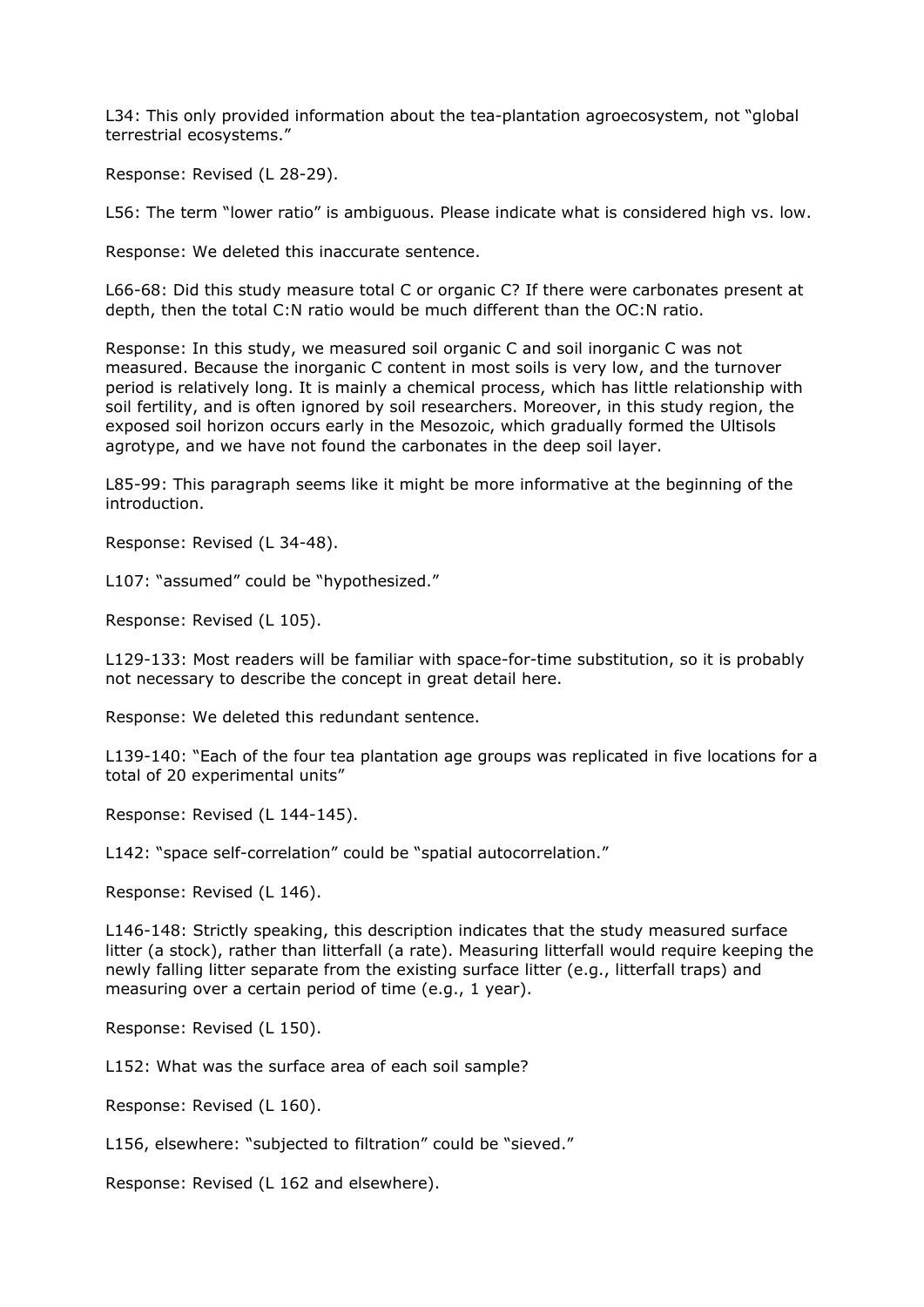L34: This only provided information about the tea-plantation agroecosystem, not "global terrestrial ecosystems."

Response: Revised (L 28-29).

L56: The term "lower ratio" is ambiguous. Please indicate what is considered high vs. low.

Response: We deleted this inaccurate sentence.

L66-68: Did this study measure total C or organic C? If there were carbonates present at depth, then the total C:N ratio would be much different than the OC:N ratio.

Response: In this study, we measured soil organic C and soil inorganic C was not measured. Because the inorganic C content in most soils is very low, and the turnover period is relatively long. It is mainly a chemical process, which has little relationship with soil fertility, and is often ignored by soil researchers. Moreover, in this study region, the exposed soil horizon occurs early in the Mesozoic, which gradually formed the Ultisols agrotype, and we have not found the carbonates in the deep soil layer.

L85-99: This paragraph seems like it might be more informative at the beginning of the introduction.

Response: Revised (L 34-48).

L107: "assumed" could be "hypothesized."

Response: Revised (L 105).

L129-133: Most readers will be familiar with space-for-time substitution, so it is probably not necessary to describe the concept in great detail here.

Response: We deleted this redundant sentence.

L139-140: "Each of the four tea plantation age groups was replicated in five locations for a total of 20 experimental units"

Response: Revised (L 144-145).

L142: "space self-correlation" could be "spatial autocorrelation."

Response: Revised (L 146).

L146-148: Strictly speaking, this description indicates that the study measured surface litter (a stock), rather than litterfall (a rate). Measuring litterfall would require keeping the newly falling litter separate from the existing surface litter (e.g., litterfall traps) and measuring over a certain period of time (e.g., 1 year).

Response: Revised (L 150).

L152: What was the surface area of each soil sample?

Response: Revised (L 160).

L156, elsewhere: "subjected to filtration" could be "sieved."

Response: Revised (L 162 and elsewhere).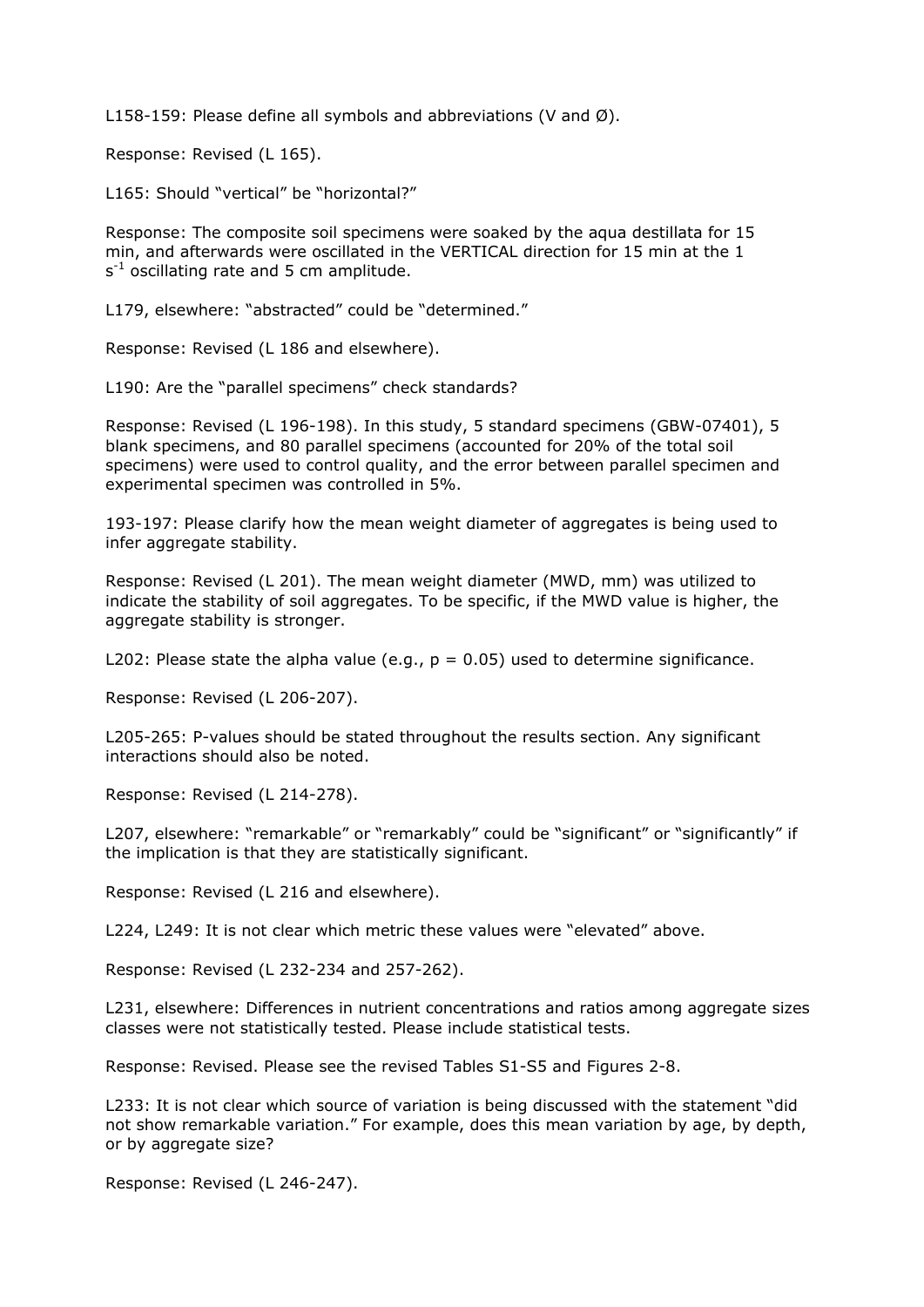L158-159: Please define all symbols and abbreviations (V and Ø).

Response: Revised (L 165).

L165: Should "vertical" be "horizontal?"

Response: The composite soil specimens were soaked by the aqua destillata for 15 min, and afterwards were oscillated in the VERTICAL direction for 15 min at the 1  $s^{-1}$  oscillating rate and 5 cm amplitude.

L179, elsewhere: "abstracted" could be "determined."

Response: Revised (L 186 and elsewhere).

L190: Are the "parallel specimens" check standards?

Response: Revised (L 196-198). In this study, 5 standard specimens (GBW-07401), 5 blank specimens, and 80 parallel specimens (accounted for 20% of the total soil specimens) were used to control quality, and the error between parallel specimen and experimental specimen was controlled in 5%.

193-197: Please clarify how the mean weight diameter of aggregates is being used to infer aggregate stability.

Response: Revised (L 201). The mean weight diameter (MWD, mm) was utilized to indicate the stability of soil aggregates. To be specific, if the MWD value is higher, the aggregate stability is stronger.

L202: Please state the alpha value (e.g.,  $p = 0.05$ ) used to determine significance.

Response: Revised (L 206-207).

L205-265: P-values should be stated throughout the results section. Any significant interactions should also be noted.

Response: Revised (L 214-278).

L207, elsewhere: "remarkable" or "remarkably" could be "significant" or "significantly" if the implication is that they are statistically significant.

Response: Revised (L 216 and elsewhere).

L224, L249: It is not clear which metric these values were "elevated" above.

Response: Revised (L 232-234 and 257-262).

L231, elsewhere: Differences in nutrient concentrations and ratios among aggregate sizes classes were not statistically tested. Please include statistical tests.

Response: Revised. Please see the revised Tables S1-S5 and Figures 2-8.

L233: It is not clear which source of variation is being discussed with the statement "did not show remarkable variation." For example, does this mean variation by age, by depth, or by aggregate size?

Response: Revised (L 246-247).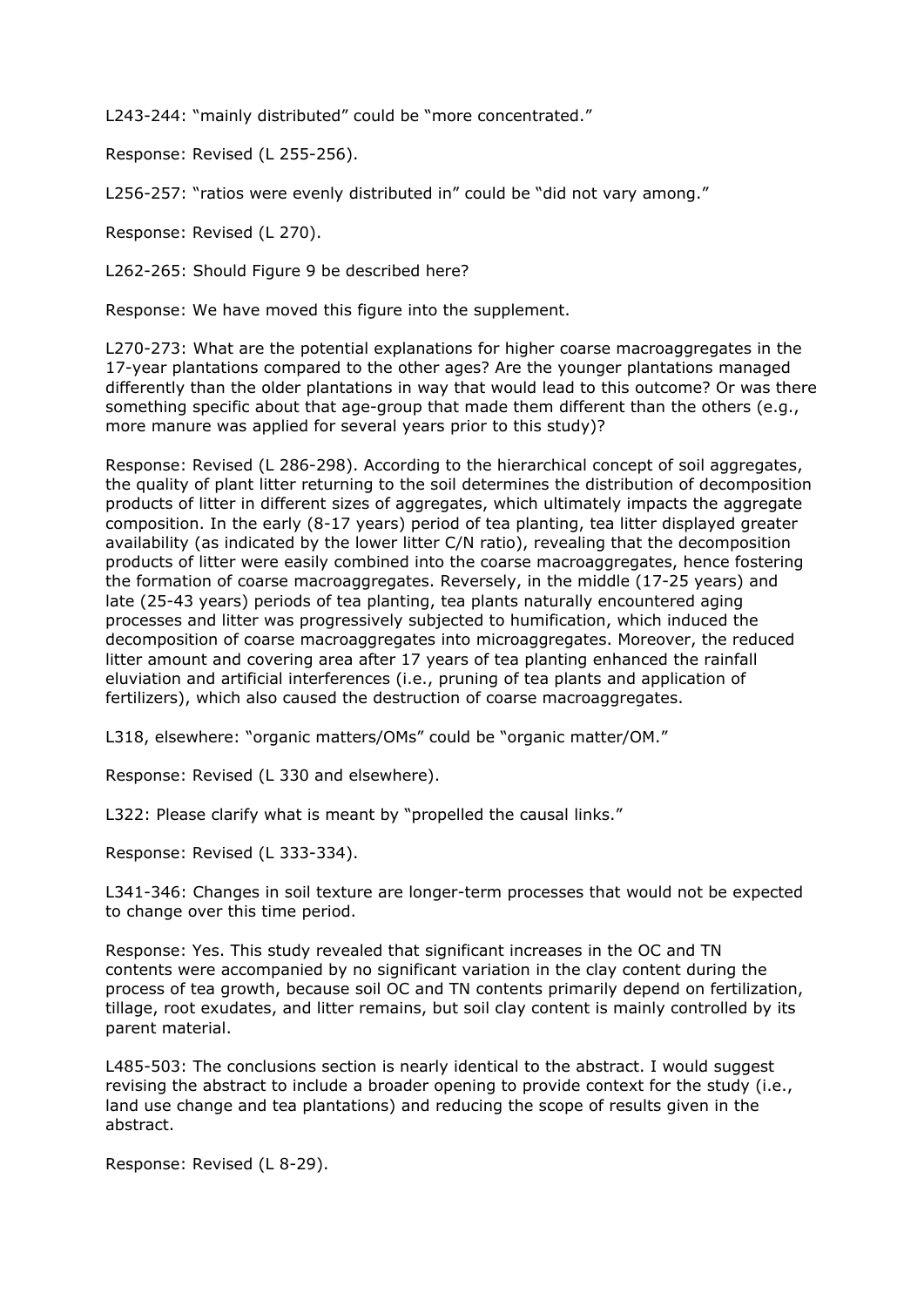L243-244: "mainly distributed" could be "more concentrated."

Response: Revised (L 255-256).

L256-257: "ratios were evenly distributed in" could be "did not vary among."

Response: Revised (L 270).

L262-265: Should Figure 9 be described here?

Response: We have moved this figure into the supplement.

L270-273: What are the potential explanations for higher coarse macroaggregates in the 17-year plantations compared to the other ages? Are the younger plantations managed differently than the older plantations in way that would lead to this outcome? Or was there something specific about that age-group that made them different than the others (e.g., more manure was applied for several years prior to this study)?

Response: Revised (L 286-298). According to the hierarchical concept of soil aggregates, the quality of plant litter returning to the soil determines the distribution of decomposition products of litter in different sizes of aggregates, which ultimately impacts the aggregate composition. In the early (8-17 years) period of tea planting, tea litter displayed greater availability (as indicated by the lower litter C/N ratio), revealing that the decomposition products of litter were easily combined into the coarse macroaggregates, hence fostering the formation of coarse macroaggregates. Reversely, in the middle (17-25 years) and late (25-43 years) periods of tea planting, tea plants naturally encountered aging processes and litter was progressively subjected to humification, which induced the decomposition of coarse macroaggregates into microaggregates. Moreover, the reduced litter amount and covering area after 17 years of tea planting enhanced the rainfall eluviation and artificial interferences (i.e., pruning of tea plants and application of fertilizers), which also caused the destruction of coarse macroaggregates.

L318, elsewhere: "organic matters/OMs" could be "organic matter/OM."

Response: Revised (L 330 and elsewhere).

L322: Please clarify what is meant by "propelled the causal links."

Response: Revised (L 333-334).

L341-346: Changes in soil texture are longer-term processes that would not be expected to change over this time period.

Response: Yes. This study revealed that significant increases in the OC and TN contents were accompanied by no significant variation in the clay content during the process of tea growth, because soil OC and TN contents primarily depend on fertilization, tillage, root exudates, and litter remains, but soil clay content is mainly controlled by its parent material.

L485-503: The conclusions section is nearly identical to the abstract. I would suggest revising the abstract to include a broader opening to provide context for the study (i.e., land use change and tea plantations) and reducing the scope of results given in the abstract.

Response: Revised (L 8-29).